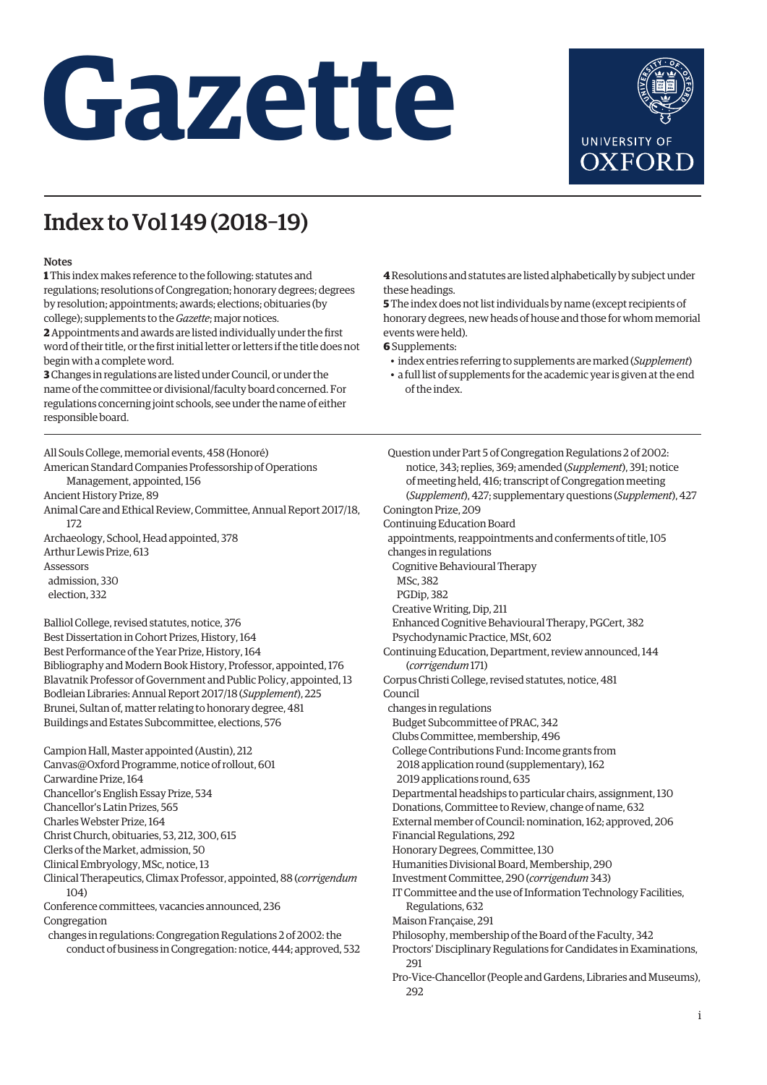## **Gazette**



## Index to Vol 149 (2018–19)

## Notes

**1** This index makes reference to the following: statutes and regulations; resolutions of Congregation; honorary degrees; degrees by resolution; appointments; awards; elections; obituaries (by college); supplements to the *Gazette*; major notices.

**2** Appointments and awards are listed individually under the first word of their title, or the first initial letter or letters if the title does not begin with a complete word.

**3** Changes in regulations are listed under Council, or under the name of the committee or divisional/faculty board concerned. For regulations concerning joint schools, see under the name of either responsible board.

All Souls College, memorial events, 458 (Honoré) American Standard Companies Professorship of Operations Management, appointed, 156 Ancient History Prize, 89 Animal Care and Ethical Review, Committee, Annual Report 2017/18, 172 Archaeology, School, Head appointed, 378 Arthur Lewis Prize, 613 Assessors admission, 330 election, 332

Balliol College, revised statutes, notice, 376 Best Dissertation in Cohort Prizes, History, 164 Best Performance of the Year Prize, History, 164 Bibliography and Modern Book History, Professor, appointed, 176 Blavatnik Professor of Government and Public Policy, appointed, 13 Bodleian Libraries: Annual Report 2017/18 (*Supplement*), 225 Brunei, Sultan of, matter relating to honorary degree, 481 Buildings and Estates Subcommittee, elections, 576

Campion Hall, Master appointed (Austin), 212 Canvas@Oxford Programme, notice of rollout, 601 Carwardine Prize, 164 Chancellor's English Essay Prize, 534 Chancellor's Latin Prizes, 565 Charles Webster Prize, 164 Christ Church, obituaries, 53, 212, 300, 615 Clerks of the Market, admission, 50 Clinical Embryology, MSc, notice, 13 Clinical Therapeutics, Climax Professor, appointed, 88 (*corrigendum* 104) Conference committees, vacancies announced, 236 Congregation changes in regulations: Congregation Regulations 2 of 2002: the conduct of business in Congregation: notice, 444; approved, 532 **4** Resolutions and statutes are listed alphabetically by subject under these headings.

**5** The index does not list individuals by name (except recipients of honorary degrees, new heads of house and those for whom memorial events were held).

**6** Supplements:

• index entries referring to supplements are marked (*Supplement*)

• a full list of supplements for the academic year is given at the end of the index.

Question under Part 5 of Congregation Regulations 2 of 2002: notice, 343; replies, 369; amended (*Supplement*), 391; notice of meeting held, 416; transcript of Congregation meeting (*Supplement*), 427; supplementary questions (*Supplement*), 427 Conington Prize, 209 Continuing Education Board appointments, reappointments and conferments of title, 105 changes in regulations Cognitive Behavioural Therapy MSc, 382 PGDip, 382 Creative Writing, Dip, 211 Enhanced Cognitive Behavioural Therapy, PGCert, 382 Psychodynamic Practice, MSt, 602 Continuing Education, Department, review announced, 144 (*corrigendum* 171) Corpus Christi College, revised statutes, notice, 481 Council changes in regulations Budget Subcommittee of PRAC, 342 Clubs Committee, membership, 496 College Contributions Fund: Income grants from 2018 application round (supplementary), 162 2019 applications round, 635 Departmental headships to particular chairs, assignment, 130 Donations, Committee to Review, change of name, 632 External member of Council: nomination, 162; approved, 206 Financial Regulations, 292 Honorary Degrees, Committee, 130 Humanities Divisional Board, Membership, 290 Investment Committee, 290 (*corrigendum* 343) IT Committee and the use of Information Technology Facilities, Regulations, 632 Maison Française, 291 Philosophy, membership of the Board of the Faculty, 342 Proctors' Disciplinary Regulations for Candidates in Examinations, 291 Pro-Vice-Chancellor (People and Gardens, Libraries and Museums), 292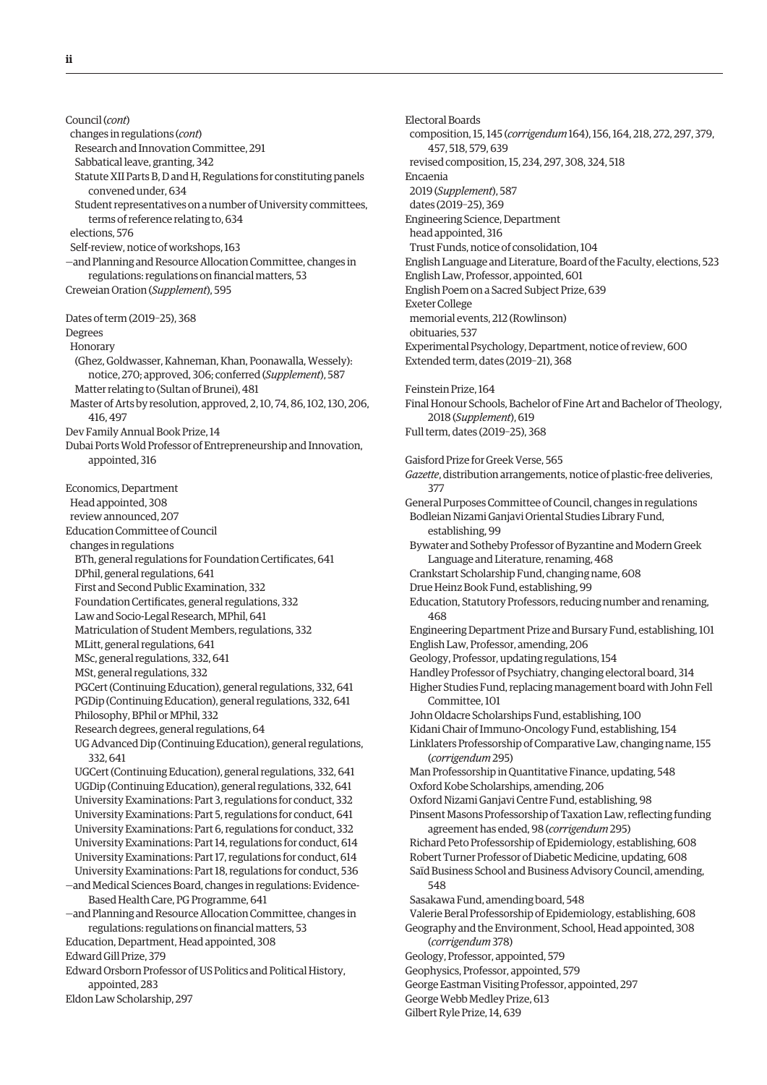Council (*cont*) changes in regulations (*cont*) Research and Innovation Committee, 291 Sabbatical leave, granting, 342 Statute XII Parts B, D and H, Regulations for constituting panels convened under, 634 Student representatives on a number of University committees, terms of reference relating to, 634 elections, 576 Self-review, notice of workshops, 163 —and Planning and Resource Allocation Committee, changes in regulations: regulations on financial matters, 53 Creweian Oration (*Supplement*), 595 Dates of term (2019–25), 368 Degrees Honorary (Ghez, Goldwasser, Kahneman, Khan, Poonawalla, Wessely): notice, 270; approved, 306; conferred (*Supplement*), 587 Matter relating to (Sultan of Brunei), 481 Master of Arts by resolution, approved, 2, 10, 74, 86, 102, 130, 206, 416, 497 Dev Family Annual Book Prize, 14 Dubai Ports Wold Professor of Entrepreneurship and Innovation, appointed, 316 Economics, Department Head appointed, 308 review announced, 207 Education Committee of Council changes in regulations BTh, general regulations for Foundation Certificates, 641 DPhil, general regulations, 641 First and Second Public Examination, 332 Foundation Certificates, general regulations, 332 Law and Socio-Legal Research, MPhil, 641 Matriculation of Student Members, regulations, 332 MLitt, general regulations, 641 MSc, general regulations, 332, 641 MSt, general regulations, 332 PGCert (Continuing Education), general regulations, 332, 641 PGDip (Continuing Education), general regulations, 332, 641 Philosophy, BPhil or MPhil, 332 Research degrees, general regulations, 64 UG Advanced Dip (Continuing Education), general regulations, 332, 641 UGCert (Continuing Education), general regulations, 332, 641 UGDip (Continuing Education), general regulations, 332, 641 University Examinations: Part 3, regulations for conduct, 332 University Examinations: Part 5, regulations for conduct, 641 University Examinations: Part 6, regulations for conduct, 332 University Examinations: Part 14, regulations for conduct, 614 University Examinations: Part 17, regulations for conduct, 614 University Examinations: Part 18, regulations for conduct, 536 —and Medical Sciences Board, changes in regulations: Evidence-Based Health Care, PG Programme, 641 —and Planning and Resource Allocation Committee, changes in regulations: regulations on financial matters, 53 Education, Department, Head appointed, 308 Edward Gill Prize, 379 Edward Orsborn Professor of US Politics and Political History, appointed, 283 Eldon Law Scholarship, 297

Electoral Boards composition, 15, 145 (*corrigendum* 164), 156, 164, 218, 272, 297, 379, 457, 518, 579, 639 revised composition, 15, 234, 297, 308, 324, 518 Encaenia 2019 (*Supplement*), 587 dates (2019–25), 369 Engineering Science, Department head appointed, 316 Trust Funds, notice of consolidation, 104 English Language and Literature, Board of the Faculty, elections, 523 English Law, Professor, appointed, 601 English Poem on a Sacred Subject Prize, 639 Exeter College memorial events, 212 (Rowlinson) obituaries, 537 Experimental Psychology, Department, notice of review, 600 Extended term, dates (2019–21), 368 Feinstein Prize, 164 Final Honour Schools, Bachelor of Fine Art and Bachelor of Theology, 2018 (*Supplement*), 619 Full term, dates (2019–25), 368 Gaisford Prize for Greek Verse, 565 *Gazette*, distribution arrangements, notice of plastic-free deliveries, 377 General Purposes Committee of Council, changes in regulations Bodleian Nizami Ganjavi Oriental Studies Library Fund, establishing, 99 Bywater and Sotheby Professor of Byzantine and Modern Greek Language and Literature, renaming, 468 Crankstart Scholarship Fund, changing name, 608 Drue Heinz Book Fund, establishing, 99 Education, Statutory Professors, reducing number and renaming, 468 Engineering Department Prize and Bursary Fund, establishing, 101 English Law, Professor, amending, 206 Geology, Professor, updating regulations, 154 Handley Professor of Psychiatry, changing electoral board, 314 Higher Studies Fund, replacing management board with John Fell Committee, 101 John Oldacre Scholarships Fund, establishing, 100 Kidani Chair of Immuno-Oncology Fund, establishing, 154 Linklaters Professorship of Comparative Law, changing name, 155 (*corrigendum* 295) Man Professorship in Quantitative Finance, updating, 548 Oxford Kobe Scholarships, amending, 206 Oxford Nizami Ganjavi Centre Fund, establishing, 98 Pinsent Masons Professorship of Taxation Law, reflecting funding agreement has ended, 98 (*corrigendum* 295) Richard Peto Professorship of Epidemiology, establishing, 608 Robert Turner Professor of Diabetic Medicine, updating, 608 Saïd Business School and Business Advisory Council, amending, 548 Sasakawa Fund, amending board, 548 Valerie Beral Professorship of Epidemiology, establishing, 608 Geography and the Environment, School, Head appointed, 308 (*corrigendum* 378) Geology, Professor, appointed, 579 Geophysics, Professor, appointed, 579 George Eastman Visiting Professor, appointed, 297

George Webb Medley Prize, 613 Gilbert Ryle Prize, 14, 639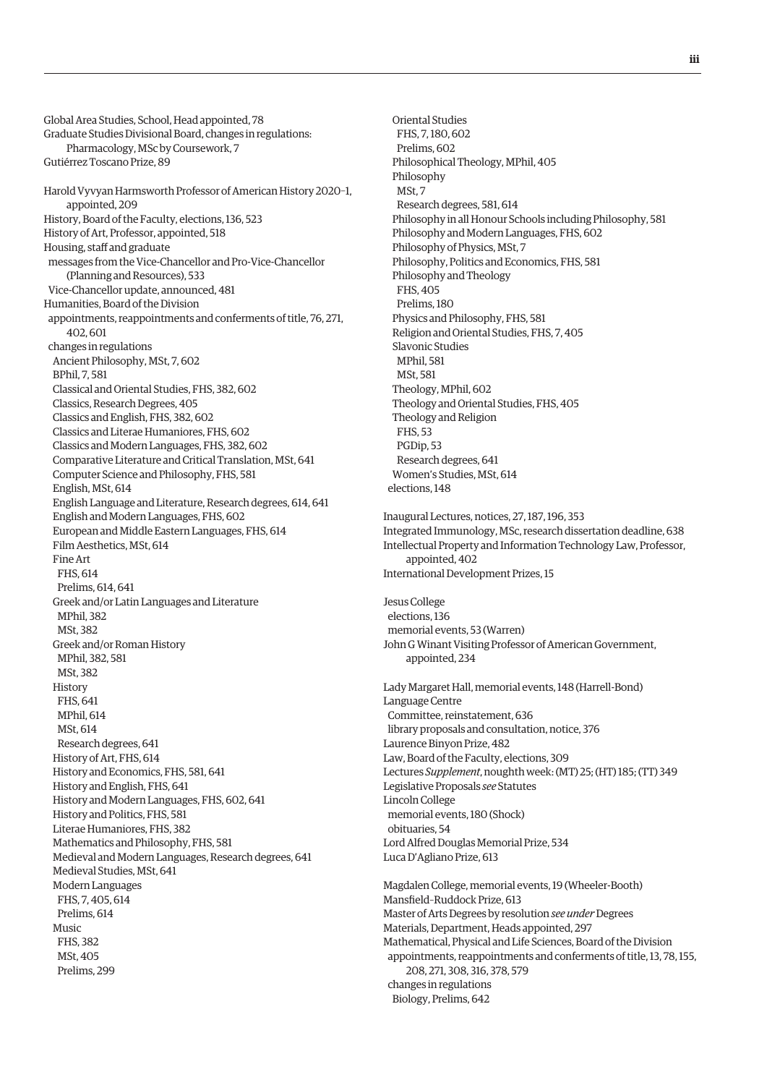Global Area Studies, School, Head appointed, 78 Graduate Studies Divisional Board, changes in regulations: Pharmacology, MSc by Coursework, 7 Gutiérrez Toscano Prize, 89 Harold Vyvyan Harmsworth Professor of American History 2020–1, appointed, 209 History, Board of the Faculty, elections, 136, 523 History of Art, Professor, appointed, 518 Housing, staff and graduate messages from the Vice-Chancellor and Pro-Vice-Chancellor (Planning and Resources), 533 Vice-Chancellor update, announced, 481 Humanities, Board of the Division appointments, reappointments and conferments of title, 76, 271, 402, 601 changes in regulations Ancient Philosophy, MSt, 7, 602 BPhil, 7, 581 Classical and Oriental Studies, FHS, 382, 602 Classics, Research Degrees, 405 Classics and English, FHS, 382, 602 Classics and Literae Humaniores, FHS, 602 Classics and Modern Languages, FHS, 382, 602 Comparative Literature and Critical Translation, MSt, 641 Computer Science and Philosophy, FHS, 581 English, MSt, 614 English Language and Literature, Research degrees, 614, 641 English and Modern Languages, FHS, 602 European and Middle Eastern Languages, FHS, 614 Film Aesthetics, MSt, 614 Fine Art FHS, 614 Prelims, 614, 641 Greek and/or Latin Languages and Literature MPhil, 382 MSt, 382 Greek and/or Roman History MPhil, 382, 581 MSt, 382 History FHS, 641 MPhil, 614 MSt, 614 Research degrees, 641 History of Art, FHS, 614 History and Economics, FHS, 581, 641 History and English, FHS, 641 History and Modern Languages, FHS, 602, 641 History and Politics, FHS, 581 Literae Humaniores, FHS, 382 Mathematics and Philosophy, FHS, 581 Medieval and Modern Languages, Research degrees, 641 Medieval Studies, MSt, 641 Modern Languages FHS, 7, 405, 614 Prelims, 614  $M<sub>11</sub>$ cic FHS, 382 MSt, 405 Prelims, 299

 Oriental Studies FHS, 7, 180, 602 Prelims, 602 Philosophical Theology, MPhil, 405 Philosophy MSt, 7 Research degrees, 581, 614 Philosophy in all Honour Schools including Philosophy, 581 Philosophy and Modern Languages, FHS, 602 Philosophy of Physics, MSt, 7 Philosophy, Politics and Economics, FHS, 581 Philosophy and Theology FHS, 405 Prelims, 180 Physics and Philosophy, FHS, 581 Religion and Oriental Studies, FHS, 7, 405 Slavonic Studies MPhil, 581 MSt, 581 Theology, MPhil, 602 Theology and Oriental Studies, FHS, 405 Theology and Religion FHS, 53 PGDip, 53 Research degrees, 641 Women's Studies, MSt, 614 elections, 148 Inaugural Lectures, notices, 27, 187, 196, 353

Integrated Immunology, MSc, research dissertation deadline, 638 Intellectual Property and Information Technology Law, Professor, appointed, 402 International Development Prizes, 15

Jesus College elections, 136 memorial events, 53 (Warren) John G Winant Visiting Professor of American Government, appointed, 234

Lady Margaret Hall, memorial events, 148 (Harrell-Bond) Language Centre Committee, reinstatement, 636 library proposals and consultation, notice, 376 Laurence Binyon Prize, 482 Law, Board of the Faculty, elections, 309 Lectures *Supplement*, noughth week: (MT) 25; (HT) 185; (TT) 349 Legislative Proposals *see* Statutes Lincoln College memorial events, 180 (Shock) obituaries, 54 Lord Alfred Douglas Memorial Prize, 534 Luca D'Agliano Prize, 613

Magdalen College, memorial events, 19 (Wheeler-Booth) Mansfield–Ruddock Prize, 613 Master of Arts Degrees by resolution *see under* Degrees Materials, Department, Heads appointed, 297 Mathematical, Physical and Life Sciences, Board of the Division appointments, reappointments and conferments of title, 13, 78, 155, 208, 271, 308, 316, 378, 579 changes in regulations Biology, Prelims, 642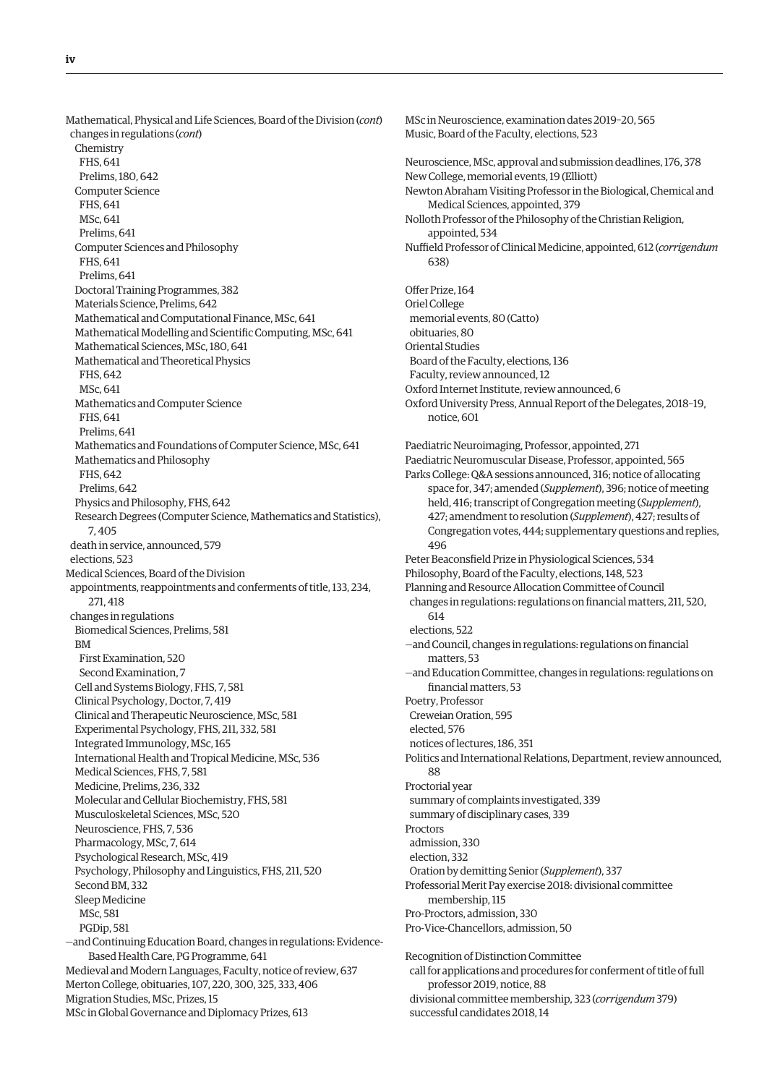Mathematical, Physical and Life Sciences, Board of the Division (*cont*) changes in regulations (*cont*) Chemistry FHS, 641 Prelims, 180, 642 Computer Science FHS, 641 MSc, 641 Prelims, 641 Computer Sciences and Philosophy FHS, 641 Prelims, 641 Doctoral Training Programmes, 382 Materials Science, Prelims, 642 Mathematical and Computational Finance, MSc, 641 Mathematical Modelling and Scientific Computing, MSc, 641 Mathematical Sciences, MSc, 180, 641 Mathematical and Theoretical Physics FHS, 642 MSc, 641 Mathematics and Computer Science FHS, 641 Prelims, 641 Mathematics and Foundations of Computer Science, MSc, 641 Mathematics and Philosophy FHS, 642 Prelims, 642 Physics and Philosophy, FHS, 642 Research Degrees (Computer Science, Mathematics and Statistics), 7, 405 death in service, announced, 579 elections, 523 Medical Sciences, Board of the Division appointments, reappointments and conferments of title, 133, 234, 271, 418 changes in regulations Biomedical Sciences, Prelims, 581 BM First Examination, 520 Second Examination, 7 Cell and Systems Biology, FHS, 7, 581 Clinical Psychology, Doctor, 7, 419 Clinical and Therapeutic Neuroscience, MSc, 581 Experimental Psychology, FHS, 211, 332, 581 Integrated Immunology, MSc, 165 International Health and Tropical Medicine, MSc, 536 Medical Sciences, FHS, 7, 581 Medicine, Prelims, 236, 332 Molecular and Cellular Biochemistry, FHS, 581 Musculoskeletal Sciences, MSc, 520 Neuroscience, FHS, 7, 536 Pharmacology, MSc, 7, 614 Psychological Research, MSc, 419 Psychology, Philosophy and Linguistics, FHS, 211, 520 Second BM, 332 Sleep Medicine MSc, 581 PGDip, 581 —and Continuing Education Board, changes in regulations: Evidence-Based Health Care, PG Programme, 641 Medieval and Modern Languages, Faculty, notice of review, 637 Merton College, obituaries, 107, 220, 300, 325, 333, 406 Migration Studies, MSc, Prizes, 15 MSc in Global Governance and Diplomacy Prizes, 613

MSc in Neuroscience, examination dates 2019–20, 565 Music, Board of the Faculty, elections, 523 Neuroscience, MSc, approval and submission deadlines, 176, 378 New College, memorial events, 19 (Elliott) Newton Abraham Visiting Professor in the Biological, Chemical and Medical Sciences, appointed, 379 Nolloth Professor of the Philosophy of the Christian Religion, appointed, 534 Nuffield Professor of Clinical Medicine, appointed, 612 (*corrigendum* 638) Offer Prize, 164 Oriel College memorial events, 80 (Catto) obituaries, 80 Oriental Studies Board of the Faculty, elections, 136 Faculty, review announced, 12 Oxford Internet Institute, review announced, 6 Oxford University Press, Annual Report of the Delegates, 2018–19, notice, 601 Paediatric Neuroimaging, Professor, appointed, 271 Paediatric Neuromuscular Disease, Professor, appointed, 565 Parks College: Q&A sessions announced, 316; notice of allocating space for, 347; amended (*Supplement*), 396; notice of meeting held, 416; transcript of Congregation meeting (*Supplement*), 427; amendment to resolution (*Supplement*), 427; results of Congregation votes, 444; supplementary questions and replies, 496 Peter Beaconsfield Prize in Physiological Sciences, 534 Philosophy, Board of the Faculty, elections, 148, 523 Planning and Resource Allocation Committee of Council changes in regulations: regulations on financial matters, 211, 520, 614 elections, 522 —and Council, changes in regulations: regulations on financial matters, 53 —and Education Committee, changes in regulations: regulations on financial matters, 53 Poetry, Professor Creweian Oration, 595 elected, 576 notices of lectures, 186, 351 Politics and International Relations, Department, review announced, 88 Proctorial year summary of complaints investigated, 339 summary of disciplinary cases, 339 **Proctors** admission, 330 election, 332 Oration by demitting Senior (*Supplement*), 337 Professorial Merit Pay exercise 2018: divisional committee membership, 115 Pro-Proctors, admission, 330 Pro-Vice-Chancellors, admission, 50 Recognition of Distinction Committee call for applications and procedures for conferment of title of full professor 2019, notice, 88 divisional committee membership, 323 (*corrigendum* 379)

successful candidates 2018, 14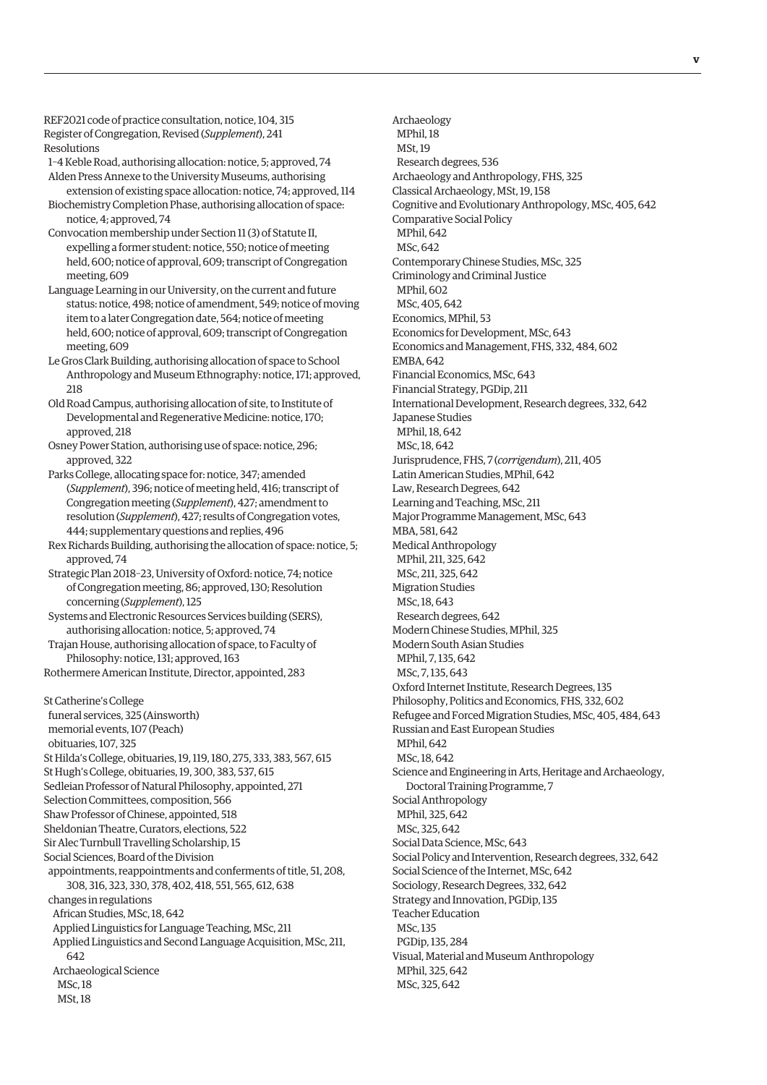REF2021 code of practice consultation, notice, 104, 315 Register of Congregation, Revised (*Supplement*), 241 Resolutions

1–4 Keble Road, authorising allocation: notice, 5; approved, 74 Alden Press Annexe to the University Museums, authorising extension of existing space allocation: notice, 74; approved, 114

- Biochemistry Completion Phase, authorising allocation of space: notice, 4; approved, 74
- Convocation membership under Section 11 (3) of Statute II, expelling a former student: notice, 550; notice of meeting held, 600; notice of approval, 609; transcript of Congregation meeting, 609
- Language Learning in our University, on the current and future status: notice, 498; notice of amendment, 549; notice of moving item to a later Congregation date, 564; notice of meeting held, 600; notice of approval, 609; transcript of Congregation meeting, 609
- Le Gros Clark Building, authorising allocation of space to School Anthropology and Museum Ethnography: notice, 171; approved, 218
- Old Road Campus, authorising allocation of site, to Institute of Developmental and Regenerative Medicine: notice, 170; approved, 218
- Osney Power Station, authorising use of space: notice, 296; approved, 322
- Parks College, allocating space for: notice, 347; amended (*Supplement*), 396; notice of meeting held, 416; transcript of Congregation meeting (*Supplement*), 427; amendment to resolution (*Supplement*), 427; results of Congregation votes, 444; supplementary questions and replies, 496
- Rex Richards Building, authorising the allocation of space: notice, 5; approved, 74
- Strategic Plan 2018–23, University of Oxford: notice, 74; notice of Congregation meeting, 86; approved, 130; Resolution concerning (*Supplement*), 125
- Systems and Electronic Resources Services building (SERS), authorising allocation: notice, 5; approved, 74
- Trajan House, authorising allocation of space, to Faculty of Philosophy: notice, 131; approved, 163

Rothermere American Institute, Director, appointed, 283

St Catherine's College funeral services, 325 (Ainsworth) memorial events, 107 (Peach) obituaries, 107, 325 St Hilda's College, obituaries, 19, 119, 180, 275, 333, 383, 567, 615 St Hugh's College, obituaries, 19, 300, 383, 537, 615 Sedleian Professor of Natural Philosophy, appointed, 271 Selection Committees, composition, 566 Shaw Professor of Chinese, appointed, 518 Sheldonian Theatre, Curators, elections, 522 Sir Alec Turnbull Travelling Scholarship, 15 Social Sciences, Board of the Division appointments, reappointments and conferments of title, 51, 208, 308, 316, 323, 330, 378, 402, 418, 551, 565, 612, 638 changes in regulations African Studies, MSc, 18, 642 Applied Linguistics for Language Teaching, MSc, 211 Applied Linguistics and Second Language Acquisition, MSc, 211, 642 Archaeological Science

 MSc, 18 MSt, 18

 Archaeology MPhil, 18 MSt, 19 Research degrees, 536 Archaeology and Anthropology, FHS, 325 Classical Archaeology, MSt, 19, 158 Cognitive and Evolutionary Anthropology, MSc, 405, 642 Comparative Social Policy MPhil, 642 MSc, 642 Contemporary Chinese Studies, MSc, 325 Criminology and Criminal Justice MPhil, 602 MSc, 405, 642 Economics, MPhil, 53 Economics for Development, MSc, 643 Economics and Management, FHS, 332, 484, 602 EMBA, 642 Financial Economics, MSc, 643 Financial Strategy, PGDip, 211 International Development, Research degrees, 332, 642 Japanese Studies MPhil, 18, 642 MSc, 18, 642 Jurisprudence, FHS, 7 (*corrigendum*), 211, 405 Latin American Studies, MPhil, 642 Law, Research Degrees, 642 Learning and Teaching, MSc, 211 Major Programme Management, MSc, 643 MBA, 581, 642 Medical Anthropology MPhil, 211, 325, 642 MSc, 211, 325, 642 Migration Studies MSc, 18, 643 Research degrees, 642 Modern Chinese Studies, MPhil, 325 Modern South Asian Studies MPhil, 7, 135, 642 MSc, 7, 135, 643 Oxford Internet Institute, Research Degrees, 135 Philosophy, Politics and Economics, FHS, 332, 602 Refugee and Forced Migration Studies, MSc, 405, 484, 643 Russian and East European Studies MPhil, 642 MSc, 18, 642 Science and Engineering in Arts, Heritage and Archaeology, Doctoral Training Programme, 7 Social Anthropology MPhil, 325, 642 MSc, 325, 642 Social Data Science, MSc, 643 Social Policy and Intervention, Research degrees, 332, 642 Social Science of the Internet, MSc, 642 Sociology, Research Degrees, 332, 642 Strategy and Innovation, PGDip, 135 Teacher Education MSc, 135 PGDip, 135, 284 Visual, Material and Museum Anthropology MPhil, 325, 642 MSc, 325, 642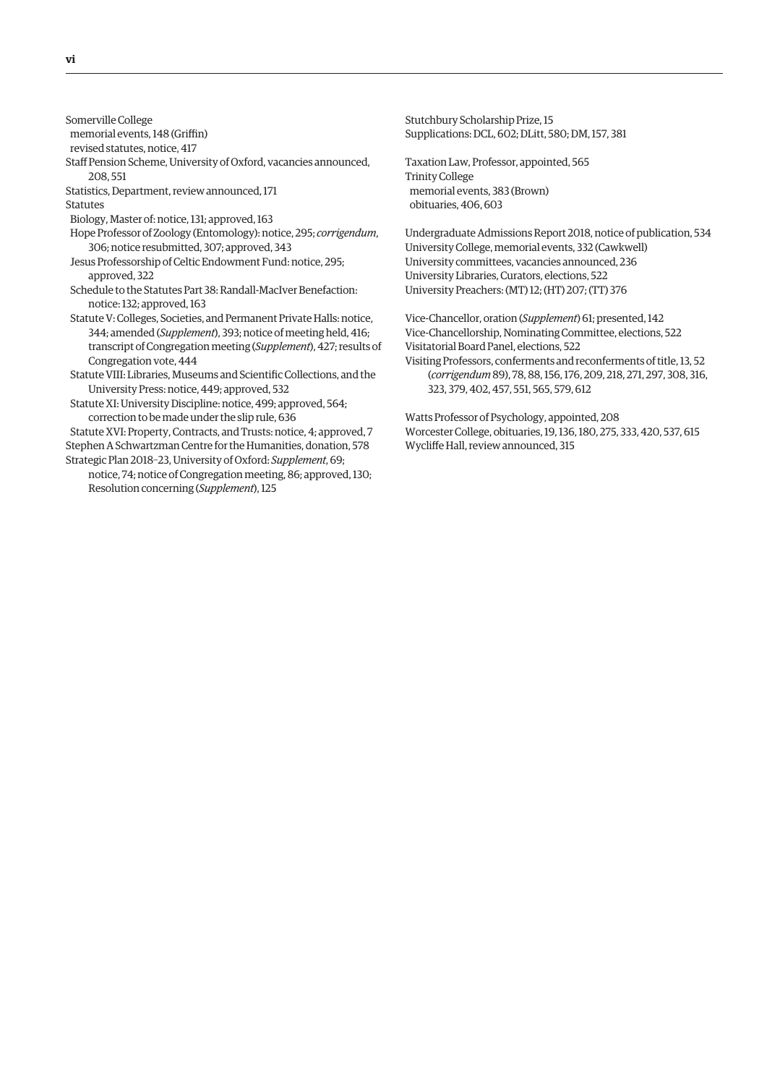Somerville College

memorial events, 148 (Griffin)

revised statutes, notice, 417

Staff Pension Scheme, University of Oxford, vacancies announced, 208, 551

Statistics, Department, review announced, 171 Statutes

Biology, Master of: notice, 131; approved, 163

Hope Professor of Zoology (Entomology): notice, 295; *corrigendum*, 306; notice resubmitted, 307; approved, 343

Jesus Professorship of Celtic Endowment Fund: notice, 295; approved, 322

- Schedule to the Statutes Part 38: Randall-MacIver Benefaction: notice: 132; approved, 163
- Statute V: Colleges, Societies, and Permanent Private Halls: notice, 344; amended (*Supplement*), 393; notice of meeting held, 416; transcript of Congregation meeting (*Supplement*), 427; results of Congregation vote, 444

Statute VIII: Libraries, Museums and Scientific Collections, and the University Press: notice, 449; approved, 532

Statute XI: University Discipline: notice, 499; approved, 564; correction to be made under the slip rule, 636

Statute XVI: Property, Contracts, and Trusts: notice, 4; approved, 7 Stephen A Schwartzman Centre for the Humanities, donation, 578 Strategic Plan 2018–23, University of Oxford: *Supplement*, 69;

notice, 74; notice of Congregation meeting, 86; approved, 130; Resolution concerning (*Supplement*), 125

Stutchbury Scholarship Prize, 15 Supplications: DCL, 602; DLitt, 580; DM, 157, 381

Taxation Law, Professor, appointed, 565 Trinity College memorial events, 383 (Brown) obituaries, 406, 603

Undergraduate Admissions Report 2018, notice of publication, 534 University College, memorial events, 332 (Cawkwell) University committees, vacancies announced, 236 University Libraries, Curators, elections, 522 University Preachers: (MT) 12; (HT) 207; (TT) 376

Vice-Chancellor, oration (*Supplement*) 61; presented, 142 Vice-Chancellorship, Nominating Committee, elections, 522 Visitatorial Board Panel, elections, 522 Visiting Professors, conferments and reconferments of title, 13, 52 (*corrigendum* 89), 78, 88, 156, 176, 209, 218, 271, 297, 308, 316, 323, 379, 402, 457, 551, 565, 579, 612

Watts Professor of Psychology, appointed, 208 Worcester College, obituaries, 19, 136, 180, 275, 333, 420, 537, 615 Wycliffe Hall, review announced, 315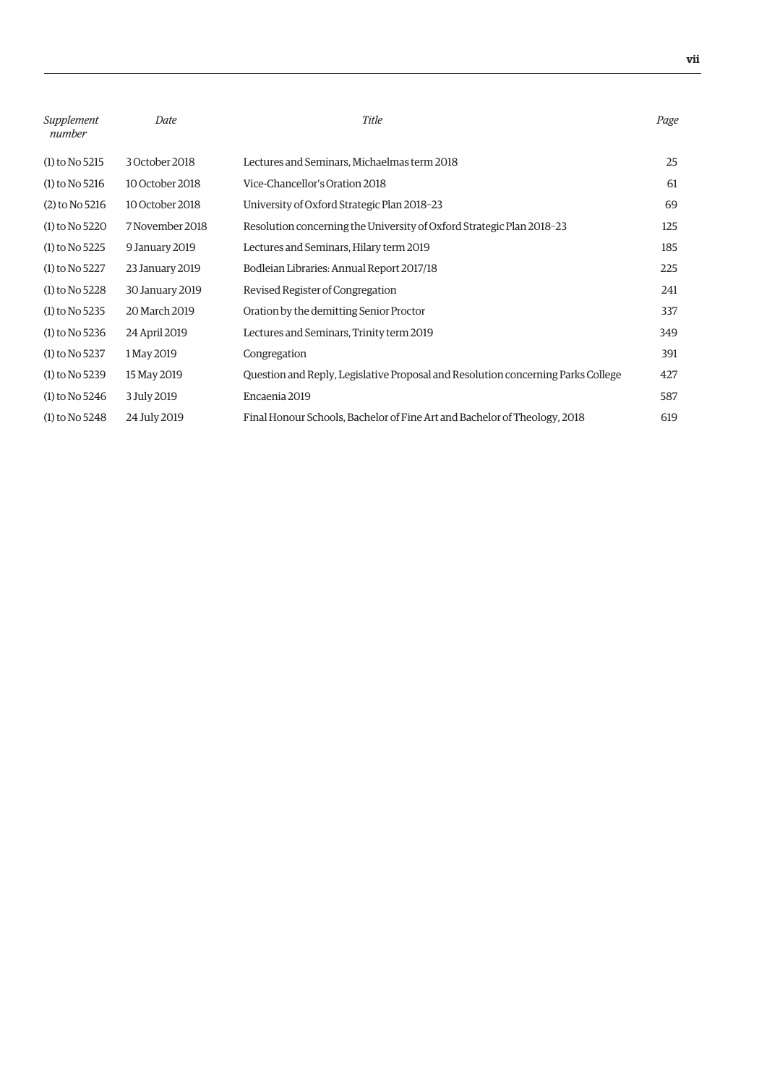| Supplement<br>number | Date            | Title                                                                            | Page |
|----------------------|-----------------|----------------------------------------------------------------------------------|------|
| $(1)$ to No 5215     | 3 October 2018  | Lectures and Seminars, Michaelmas term 2018                                      | 25   |
| $(1)$ to No 5216     | 10 October 2018 | Vice-Chancellor's Oration 2018                                                   | 61   |
| $(2)$ to No 5216     | 10 October 2018 | University of Oxford Strategic Plan 2018-23                                      | 69   |
| $(1)$ to No 5220     | 7 November 2018 | Resolution concerning the University of Oxford Strategic Plan 2018-23            | 125  |
| $(1)$ to No 5225     | 9 January 2019  | Lectures and Seminars, Hilary term 2019                                          | 185  |
| $(1)$ to No 5227     | 23 January 2019 | Bodleian Libraries: Annual Report 2017/18                                        | 225  |
| $(1)$ to No 5228     | 30 January 2019 | Revised Register of Congregation                                                 | 241  |
| $(1)$ to No 5235     | 20 March 2019   | Oration by the demitting Senior Proctor                                          | 337  |
| $(1)$ to No 5236     | 24 April 2019   | Lectures and Seminars, Trinity term 2019                                         | 349  |
| $(1)$ to No 5237     | 1 May 2019      | Congregation                                                                     | 391  |
| $(1)$ to No 5239     | 15 May 2019     | Question and Reply, Legislative Proposal and Resolution concerning Parks College | 427  |
| $(1)$ to No 5246     | 3 July 2019     | Encaenia 2019                                                                    | 587  |
| $(1)$ to No 5248     | 24 July 2019    | Final Honour Schools, Bachelor of Fine Art and Bachelor of Theology, 2018        | 619  |